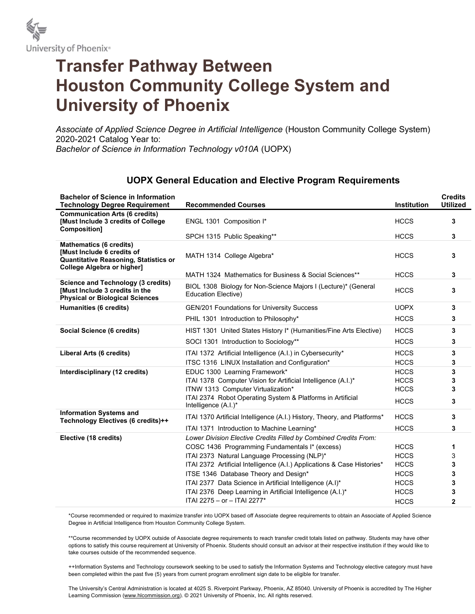

## Transfer Pathway Between Houston Community College System and University of Phoenix

Associate of Applied Science Degree in Artificial Intelligence (Houston Community College System) 2020-2021 Catalog Year to: Bachelor of Science in Information Technology v010A (UOPX)

## UOPX General Education and Elective Program Requirements

| <b>Bachelor of Science in Information</b><br><b>Technology Degree Requirement</b>                                                                        | <b>Recommended Courses</b>                                                                   | <b>Institution</b> | <b>Credits</b><br><b>Utilized</b> |
|----------------------------------------------------------------------------------------------------------------------------------------------------------|----------------------------------------------------------------------------------------------|--------------------|-----------------------------------|
| <b>Communication Arts (6 credits)</b><br><b>[Must Include 3 credits of College</b><br>Composition]                                                       | ENGL 1301 Composition I*                                                                     | <b>HCCS</b>        | 3                                 |
|                                                                                                                                                          | SPCH 1315 Public Speaking**                                                                  | <b>HCCS</b>        | 3                                 |
| <b>Mathematics (6 credits)</b><br><b>[Must Include 6 credits of</b><br><b>Quantitative Reasoning, Statistics or</b><br><b>College Algebra or higher]</b> | MATH 1314 College Algebra*                                                                   | <b>HCCS</b>        | 3                                 |
|                                                                                                                                                          | MATH 1324 Mathematics for Business & Social Sciences**                                       | <b>HCCS</b>        | 3                                 |
| <b>Science and Technology (3 credits)</b><br>[Must Include 3 credits in the<br><b>Physical or Biological Sciences</b>                                    | BIOL 1308 Biology for Non-Science Majors I (Lecture)* (General<br><b>Education Elective)</b> | <b>HCCS</b>        | 3                                 |
| Humanities (6 credits)                                                                                                                                   | GEN/201 Foundations for University Success                                                   | <b>UOPX</b>        | 3                                 |
|                                                                                                                                                          | PHIL 1301 Introduction to Philosophy*                                                        | <b>HCCS</b>        | 3                                 |
| Social Science (6 credits)                                                                                                                               | HIST 1301 United States History I* (Humanities/Fine Arts Elective)                           | <b>HCCS</b>        | 3                                 |
|                                                                                                                                                          | SOCI 1301 Introduction to Sociology**                                                        | <b>HCCS</b>        | 3                                 |
| Liberal Arts (6 credits)                                                                                                                                 | ITAI 1372 Artificial Intelligence (A.I.) in Cybersecurity*                                   | <b>HCCS</b>        | 3                                 |
|                                                                                                                                                          | ITSC 1316 LINUX Installation and Configuration*                                              | <b>HCCS</b>        | 3                                 |
| Interdisciplinary (12 credits)                                                                                                                           | EDUC 1300 Learning Framework*                                                                | <b>HCCS</b>        | 3                                 |
|                                                                                                                                                          | ITAI 1378 Computer Vision for Artificial Intelligence (A.I.)*                                | <b>HCCS</b>        | 3                                 |
|                                                                                                                                                          | ITNW 1313 Computer Virtualization*                                                           | <b>HCCS</b>        | 3                                 |
|                                                                                                                                                          | ITAI 2374 Robot Operating System & Platforms in Artificial<br>Intelligence (A.I.)*           | <b>HCCS</b>        | 3                                 |
| <b>Information Systems and</b><br>Technology Electives (6 credits)++                                                                                     | ITAI 1370 Artificial Intelligence (A.I.) History, Theory, and Platforms*                     | <b>HCCS</b>        | 3                                 |
|                                                                                                                                                          | ITAI 1371 Introduction to Machine Learning*                                                  | <b>HCCS</b>        | 3                                 |
| Elective (18 credits)                                                                                                                                    | Lower Division Elective Credits Filled by Combined Credits From:                             |                    |                                   |
|                                                                                                                                                          | COSC 1436 Programming Fundamentals I* (excess)                                               | <b>HCCS</b>        | 1                                 |
|                                                                                                                                                          | ITAI 2373 Natural Language Processing (NLP)*                                                 | <b>HCCS</b>        | 3                                 |
|                                                                                                                                                          | ITAI 2372 Artificial Intelligence (A.I.) Applications & Case Histories*                      | <b>HCCS</b>        | 3                                 |
|                                                                                                                                                          | ITSE 1346 Database Theory and Design*                                                        | <b>HCCS</b>        | 3                                 |
|                                                                                                                                                          | ITAI 2377 Data Science in Artificial Intelligence (A.I)*                                     | <b>HCCS</b>        | 3                                 |
|                                                                                                                                                          | ITAI 2376 Deep Learning in Artificial Intelligence (A.I.)*                                   | <b>HCCS</b>        | 3                                 |
|                                                                                                                                                          | ITAI 2275 - or - ITAI 2277*                                                                  | <b>HCCS</b>        | $\mathbf{2}$                      |

\*Course recommended or required to maximize transfer into UOPX based off Associate degree requirements to obtain an Associate of Applied Science Degree in Artificial Intelligence from Houston Community College System.

\*\*Course recommended by UOPX outside of Associate degree requirements to reach transfer credit totals listed on pathway. Students may have other options to satisfy this course requirement at University of Phoenix. Students should consult an advisor at their respective institution if they would like to take courses outside of the recommended sequence.

++Information Systems and Technology coursework seeking to be used to satisfy the Information Systems and Technology elective category must have been completed within the past five (5) years from current program enrollment sign date to be eligible for transfer.

The University's Central Administration is located at 4025 S. Riverpoint Parkway, Phoenix, AZ 85040. University of Phoenix is accredited by The Higher Learning Commission (www.hlcommission.org). @ 2021 University of Phoenix, Inc. All rights reserved.